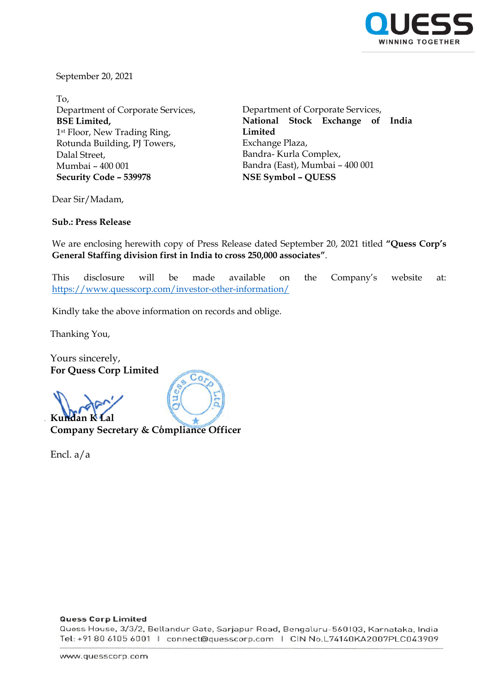

September 20, 2021

To, Department of Corporate Services, **BSE Limited,** 1st Floor, New Trading Ring, Rotunda Building, PJ Towers, Dalal Street, Mumbai – 400 001 **Security Code – 539978 NSE Symbol – QUESS**

Department of Corporate Services, **National Stock Exchange of India Limited** Exchange Plaza, Bandra- Kurla Complex, Bandra (East), Mumbai – 400 001

Dear Sir/Madam,

**Sub.: Press Release**

We are enclosing herewith copy of Press Release dated September 20, 2021 titled **"Quess Corp's General Staffing division first in India to cross 250,000 associates"**.

This disclosure will be made available on the Company's website at: <https://www.quesscorp.com/investor-other-information/>

Kindly take the above information on records and oblige.

Thanking You,

Yours sincerely, **For Quess Corp Limited**

**Kundan K Company Secretary & Compliance Officer**

Encl. a/a



## **Quess Corp Limited**

Quess House, 3/3/2, Bellandur Gate, Sarjapur Road, Bengaluru-560103, Karnataka, India Tel: +91 80 6105 6001 | connect@quesscorp.com | CIN No.L74140KA2007PLC043909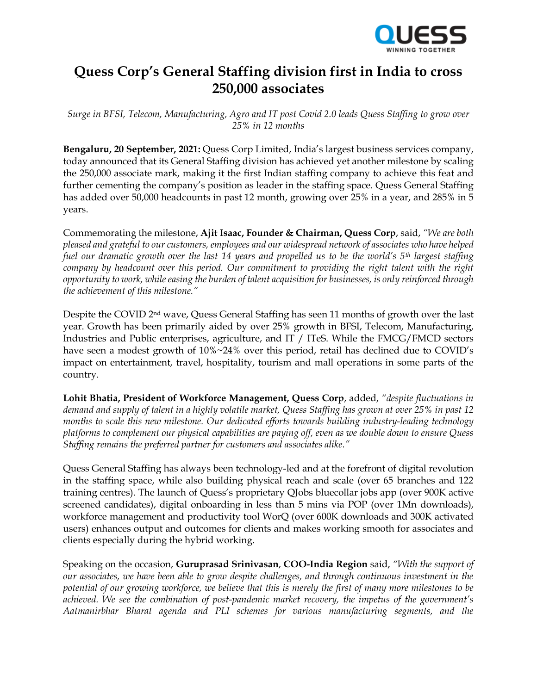

## **Quess Corp's General Staffing division first in India to cross 250,000 associates**

*Surge in BFSI, Telecom, Manufacturing, Agro and IT post Covid 2.0 leads Quess Staffing to grow over 25% in 12 months*

**Bengaluru, 20 September, 2021:** Quess Corp Limited, India's largest business services company, today announced that its General Staffing division has achieved yet another milestone by scaling the 250,000 associate mark, making it the first Indian staffing company to achieve this feat and further cementing the company's position as leader in the staffing space. Quess General Staffing has added over 50,000 headcounts in past 12 month, growing over 25% in a year, and 285% in 5 years.

Commemorating the milestone, **Ajit Isaac, Founder & Chairman, Quess Corp**, said, *"We are both pleased and grateful to our customers, employees and our widespread network of associates who have helped fuel our dramatic growth over the last 14 years and propelled us to be the world's 5th largest staffing company by headcount over this period. Our commitment to providing the right talent with the right opportunity to work, while easing the burden of talent acquisition for businesses, is only reinforced through the achievement of this milestone."*

Despite the COVID 2nd wave, Quess General Staffing has seen 11 months of growth over the last year. Growth has been primarily aided by over 25% growth in BFSI, Telecom, Manufacturing, Industries and Public enterprises, agriculture, and IT / ITeS. While the FMCG/FMCD sectors have seen a modest growth of  $10\% \sim 24\%$  over this period, retail has declined due to COVID's impact on entertainment, travel, hospitality, tourism and mall operations in some parts of the country.

**Lohit Bhatia, President of Workforce Management, Quess Corp**, added, *"despite fluctuations in demand and supply of talent in a highly volatile market, Quess Staffing has grown at over 25% in past 12 months to scale this new milestone. Our dedicated efforts towards building industry-leading technology platforms to complement our physical capabilities are paying off, even as we double down to ensure Quess Staffing remains the preferred partner for customers and associates alike."*

Quess General Staffing has always been technology-led and at the forefront of digital revolution in the staffing space, while also building physical reach and scale (over 65 branches and 122 training centres). The launch of Quess's proprietary QJobs bluecollar jobs app (over 900K active screened candidates), digital onboarding in less than 5 mins via POP (over 1Mn downloads), workforce management and productivity tool WorQ (over 600K downloads and 300K activated users) enhances output and outcomes for clients and makes working smooth for associates and clients especially during the hybrid working.

Speaking on the occasion, **Guruprasad Srinivasan**, **COO-India Region** said, *"With the support of our associates, we have been able to grow despite challenges, and through continuous investment in the potential of our growing workforce, we believe that this is merely the first of many more milestones to be achieved. We see the combination of post-pandemic market recovery, the impetus of the government's Aatmanirbhar Bharat agenda and PLI schemes for various manufacturing segments, and the*